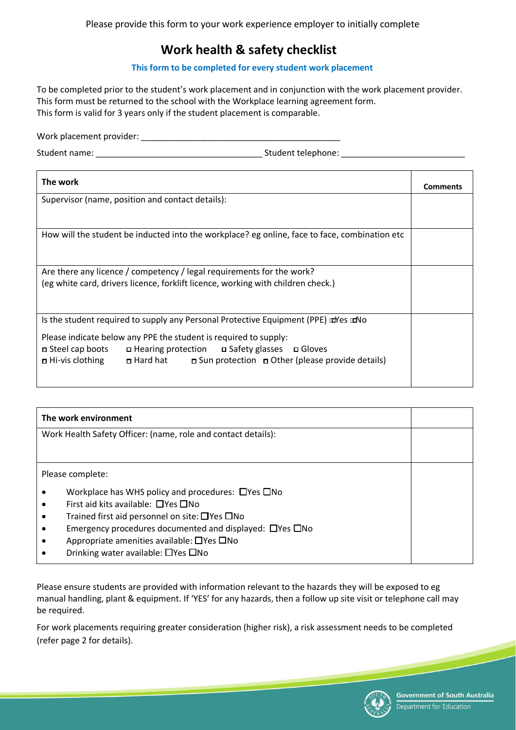## **Work health & safety checklist**

## **This form to be completed for every student work placement**

To be completed prior to the student's work placement and in conjunction with the work placement provider. This form must be returned to the school with the Workplace learning agreement form. This form is valid for 3 years only if the student placement is comparable.

Work placement provider: \_\_\_\_\_\_\_\_\_\_\_\_\_\_\_\_\_\_\_\_\_\_\_\_\_\_\_\_\_\_\_\_\_\_\_\_\_\_\_\_\_\_

Student name: \_\_\_\_\_\_\_\_\_\_\_\_\_\_\_\_\_\_\_\_\_\_\_\_\_\_\_\_\_\_\_\_\_\_\_ Student telephone: \_\_\_\_\_\_\_\_\_\_\_\_\_\_\_\_\_\_\_\_\_\_\_\_\_\_

| The work                                                                                                                                                                                 | Comments |  |  |  |  |
|------------------------------------------------------------------------------------------------------------------------------------------------------------------------------------------|----------|--|--|--|--|
| Supervisor (name, position and contact details):                                                                                                                                         |          |  |  |  |  |
|                                                                                                                                                                                          |          |  |  |  |  |
| How will the student be inducted into the workplace? eg online, face to face, combination etc                                                                                            |          |  |  |  |  |
|                                                                                                                                                                                          |          |  |  |  |  |
| Are there any licence / competency / legal requirements for the work?                                                                                                                    |          |  |  |  |  |
| (eg white card, drivers licence, forklift licence, working with children check.)                                                                                                         |          |  |  |  |  |
|                                                                                                                                                                                          |          |  |  |  |  |
| Is the student required to supply any Personal Protective Equipment (PPE) La Yes La No                                                                                                   |          |  |  |  |  |
| Please indicate below any PPE the student is required to supply:                                                                                                                         |          |  |  |  |  |
| <b>□</b> Hearing protection □ Safety glasses □ Gloves<br>□ Steel cap boots<br><b>a</b> Hi-vis clothing <b>a</b> Hard hat <b>a</b> Sun protection <b>a</b> Other (please provide details) |          |  |  |  |  |
|                                                                                                                                                                                          |          |  |  |  |  |
|                                                                                                                                                                                          |          |  |  |  |  |

| The work environment                                          |                                                                     |  |  |  |  |
|---------------------------------------------------------------|---------------------------------------------------------------------|--|--|--|--|
| Work Health Safety Officer: (name, role and contact details): |                                                                     |  |  |  |  |
|                                                               |                                                                     |  |  |  |  |
| Please complete:                                              |                                                                     |  |  |  |  |
|                                                               | Workplace has WHS policy and procedures: $\Box$ Yes $\Box$ No       |  |  |  |  |
|                                                               | First aid kits available: $\Box$ Yes $\Box$ No                      |  |  |  |  |
|                                                               | Trained first aid personnel on site: $\Box$ Yes $\Box$ No           |  |  |  |  |
|                                                               | Emergency procedures documented and displayed: $\Box$ Yes $\Box$ No |  |  |  |  |
|                                                               | Appropriate amenities available: $\Box$ Yes $\Box$ No               |  |  |  |  |
|                                                               | Drinking water available: $\Box$ Yes $\Box$ No                      |  |  |  |  |

Please ensure students are provided with information relevant to the hazards they will be exposed to eg manual handling, plant & equipment. If 'YES' for any hazards, then a follow up site visit or telephone call may be required.

For work placements requiring greater consideration (higher risk), a risk assessment needs to be completed (refer page 2 for details).